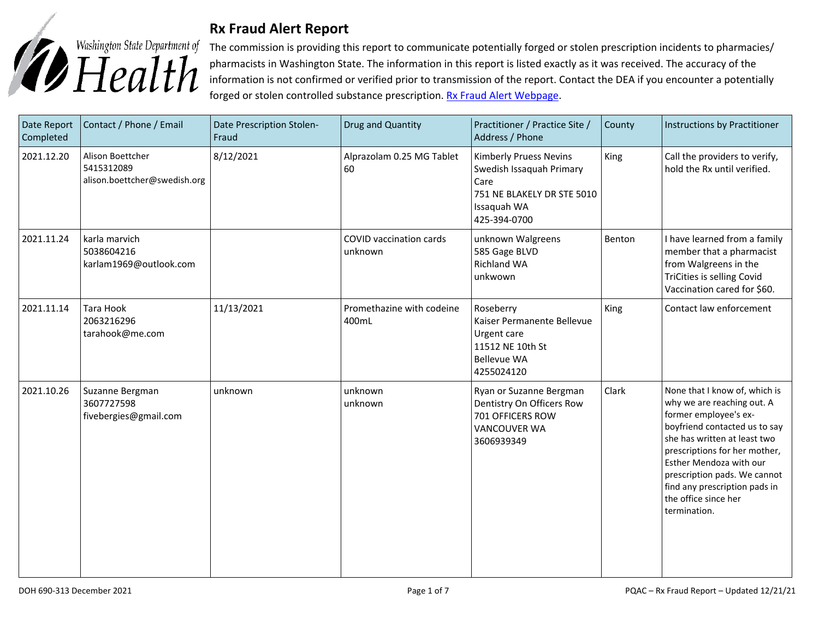

## **Rx Fraud Alert Report**

The commission is providing this report to communicate potentially forged or stolen prescription incidents to pharmacies/ pharmacists in Washington State. The information in this report is listed exactly as it was received. The accuracy of the information is not confirmed or verified prior to transmission of the report. Contact the DEA if you encounter a potentially forged or stolen controlled substance prescription. [Rx Fraud Alert Webpage.](https://www.doh.wa.gov/LicensesPermitsandCertificates/ProfessionsNewReneworUpdate/PharmacyCommission/RxFraudAlerts)

| Date Report<br>Completed | Contact / Phone / Email                                        | Date Prescription Stolen-<br>Fraud | Drug and Quantity                  | Practitioner / Practice Site /<br>Address / Phone                                                                       | County | Instructions by Practitioner                                                                                                                                                                                                                                                                                               |
|--------------------------|----------------------------------------------------------------|------------------------------------|------------------------------------|-------------------------------------------------------------------------------------------------------------------------|--------|----------------------------------------------------------------------------------------------------------------------------------------------------------------------------------------------------------------------------------------------------------------------------------------------------------------------------|
| 2021.12.20               | Alison Boettcher<br>5415312089<br>alison.boettcher@swedish.org | 8/12/2021                          | Alprazolam 0.25 MG Tablet<br>60    | Kimberly Pruess Nevins<br>Swedish Issaquah Primary<br>Care<br>751 NE BLAKELY DR STE 5010<br>Issaquah WA<br>425-394-0700 | King   | Call the providers to verify,<br>hold the Rx until verified.                                                                                                                                                                                                                                                               |
| 2021.11.24               | karla marvich<br>5038604216<br>karlam1969@outlook.com          |                                    | COVID vaccination cards<br>unknown | unknown Walgreens<br>585 Gage BLVD<br><b>Richland WA</b><br>unkwown                                                     | Benton | I have learned from a family<br>member that a pharmacist<br>from Walgreens in the<br>TriCities is selling Covid<br>Vaccination cared for \$60.                                                                                                                                                                             |
| 2021.11.14               | Tara Hook<br>2063216296<br>tarahook@me.com                     | 11/13/2021                         | Promethazine with codeine<br>400mL | Roseberry<br>Kaiser Permanente Bellevue<br>Urgent care<br>11512 NE 10th St<br><b>Bellevue WA</b><br>4255024120          | King   | Contact law enforcement                                                                                                                                                                                                                                                                                                    |
| 2021.10.26               | Suzanne Bergman<br>3607727598<br>fivebergies@gmail.com         | unknown                            | unknown<br>unknown                 | Ryan or Suzanne Bergman<br>Dentistry On Officers Row<br>701 OFFICERS ROW<br><b>VANCOUVER WA</b><br>3606939349           | Clark  | None that I know of, which is<br>why we are reaching out. A<br>former employee's ex-<br>boyfriend contacted us to say<br>she has written at least two<br>prescriptions for her mother,<br>Esther Mendoza with our<br>prescription pads. We cannot<br>find any prescription pads in<br>the office since her<br>termination. |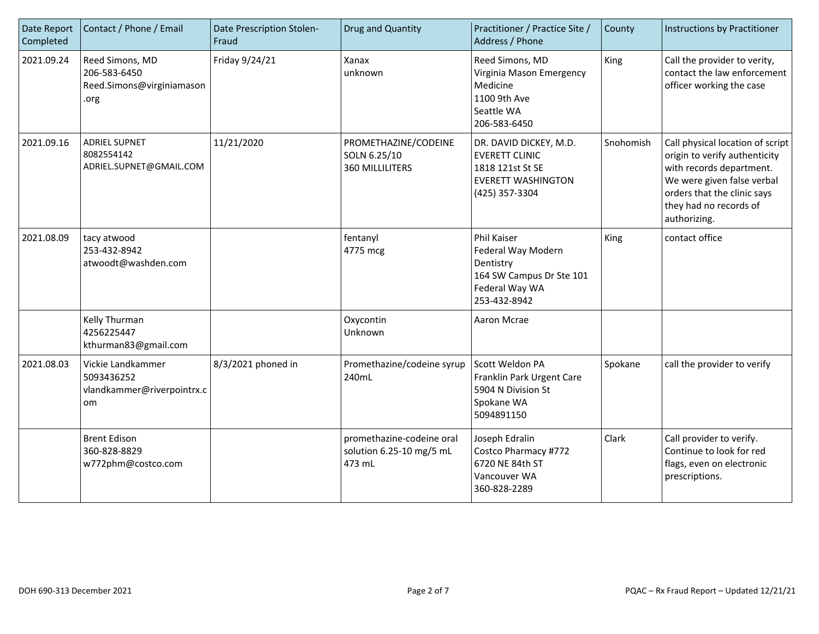| Date Report<br>Completed | Contact / Phone / Email                                              | Date Prescription Stolen-<br>Fraud | Drug and Quantity                                               | Practitioner / Practice Site /<br>Address / Phone                                                                   | County    | Instructions by Practitioner                                                                                                                                                                         |
|--------------------------|----------------------------------------------------------------------|------------------------------------|-----------------------------------------------------------------|---------------------------------------------------------------------------------------------------------------------|-----------|------------------------------------------------------------------------------------------------------------------------------------------------------------------------------------------------------|
| 2021.09.24               | Reed Simons, MD<br>206-583-6450<br>Reed.Simons@virginiamason<br>.org | Friday 9/24/21                     | Xanax<br>unknown                                                | Reed Simons, MD<br>Virginia Mason Emergency<br>Medicine<br>1100 9th Ave<br>Seattle WA<br>206-583-6450               | King      | Call the provider to verity,<br>contact the law enforcement<br>officer working the case                                                                                                              |
| 2021.09.16               | <b>ADRIEL SUPNET</b><br>8082554142<br>ADRIEL.SUPNET@GMAIL.COM        | 11/21/2020                         | PROMETHAZINE/CODEINE<br>SOLN 6.25/10<br><b>360 MILLILITERS</b>  | DR. DAVID DICKEY, M.D.<br><b>EVERETT CLINIC</b><br>1818 121st St SE<br><b>EVERETT WASHINGTON</b><br>(425) 357-3304  | Snohomish | Call physical location of script<br>origin to verify authenticity<br>with records department.<br>We were given false verbal<br>orders that the clinic says<br>they had no records of<br>authorizing. |
| 2021.08.09               | tacy atwood<br>253-432-8942<br>atwoodt@washden.com                   |                                    | fentanyl<br>4775 mcg                                            | <b>Phil Kaiser</b><br>Federal Way Modern<br>Dentistry<br>164 SW Campus Dr Ste 101<br>Federal Way WA<br>253-432-8942 | King      | contact office                                                                                                                                                                                       |
|                          | Kelly Thurman<br>4256225447<br>kthurman83@gmail.com                  |                                    | Oxycontin<br>Unknown                                            | Aaron Mcrae                                                                                                         |           |                                                                                                                                                                                                      |
| 2021.08.03               | Vickie Landkammer<br>5093436252<br>vlandkammer@riverpointrx.c<br>om  | 8/3/2021 phoned in                 | Promethazine/codeine syrup<br>240mL                             | Scott Weldon PA<br>Franklin Park Urgent Care<br>5904 N Division St<br>Spokane WA<br>5094891150                      | Spokane   | call the provider to verify                                                                                                                                                                          |
|                          | <b>Brent Edison</b><br>360-828-8829<br>w772phm@costco.com            |                                    | promethazine-codeine oral<br>solution 6.25-10 mg/5 mL<br>473 mL | Joseph Edralin<br>Costco Pharmacy #772<br>6720 NE 84th ST<br>Vancouver WA<br>360-828-2289                           | Clark     | Call provider to verify.<br>Continue to look for red<br>flags, even on electronic<br>prescriptions.                                                                                                  |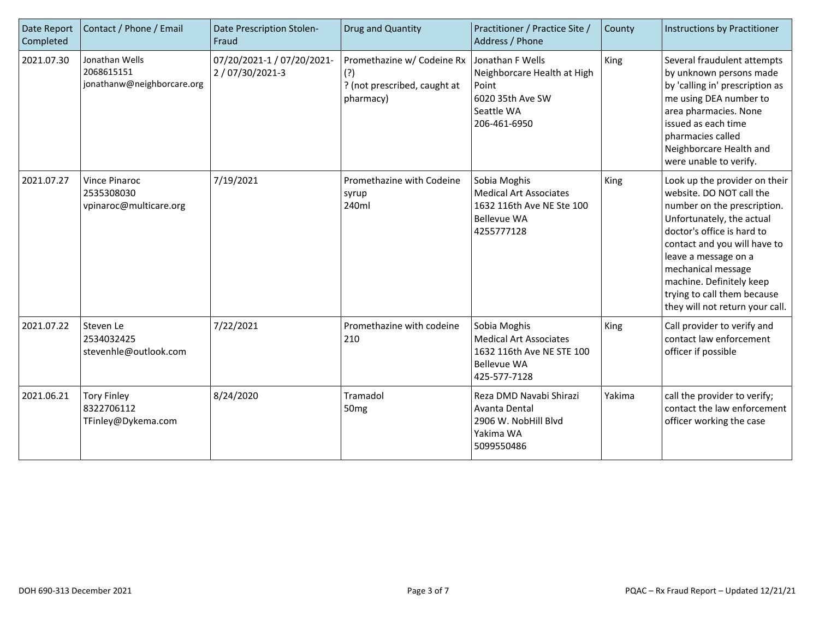| Date Report<br>Completed | Contact / Phone / Email                                      | Date Prescription Stolen-<br>Fraud           | Drug and Quantity                                                              | Practitioner / Practice Site /<br>Address / Phone                                                                | County | Instructions by Practitioner                                                                                                                                                                                                                                                                                                    |
|--------------------------|--------------------------------------------------------------|----------------------------------------------|--------------------------------------------------------------------------------|------------------------------------------------------------------------------------------------------------------|--------|---------------------------------------------------------------------------------------------------------------------------------------------------------------------------------------------------------------------------------------------------------------------------------------------------------------------------------|
| 2021.07.30               | Jonathan Wells<br>2068615151<br>jonathanw@neighborcare.org   | 07/20/2021-1 / 07/20/2021-<br>2/07/30/2021-3 | Promethazine w/ Codeine Rx<br>(?)<br>? (not prescribed, caught at<br>pharmacy) | Jonathan F Wells<br>Neighborcare Health at High<br>Point<br>6020 35th Ave SW<br>Seattle WA<br>206-461-6950       | King   | Several fraudulent attempts<br>by unknown persons made<br>by 'calling in' prescription as<br>me using DEA number to<br>area pharmacies. None<br>issued as each time<br>pharmacies called<br>Neighborcare Health and<br>were unable to verify.                                                                                   |
| 2021.07.27               | <b>Vince Pinaroc</b><br>2535308030<br>vpinaroc@multicare.org | 7/19/2021                                    | Promethazine with Codeine<br>syrup<br>240ml                                    | Sobia Moghis<br><b>Medical Art Associates</b><br>1632 116th Ave NE Ste 100<br><b>Bellevue WA</b><br>4255777128   | King   | Look up the provider on their<br>website. DO NOT call the<br>number on the prescription.<br>Unfortunately, the actual<br>doctor's office is hard to<br>contact and you will have to<br>leave a message on a<br>mechanical message<br>machine. Definitely keep<br>trying to call them because<br>they will not return your call. |
| 2021.07.22               | Steven Le<br>2534032425<br>stevenhle@outlook.com             | 7/22/2021                                    | Promethazine with codeine<br>210                                               | Sobia Moghis<br><b>Medical Art Associates</b><br>1632 116th Ave NE STE 100<br><b>Bellevue WA</b><br>425-577-7128 | King   | Call provider to verify and<br>contact law enforcement<br>officer if possible                                                                                                                                                                                                                                                   |
| 2021.06.21               | <b>Tory Finley</b><br>8322706112<br>TFinley@Dykema.com       | 8/24/2020                                    | Tramadol<br>50 <sub>mg</sub>                                                   | Reza DMD Navabi Shirazi<br>Avanta Dental<br>2906 W. NobHill Blvd<br>Yakima WA<br>5099550486                      | Yakima | call the provider to verify;<br>contact the law enforcement<br>officer working the case                                                                                                                                                                                                                                         |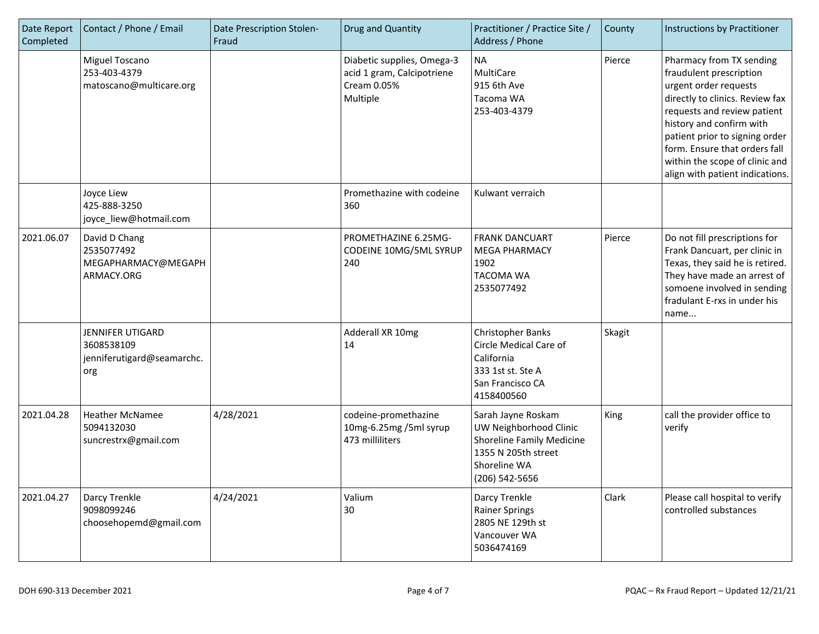| Date Report<br>Completed | Contact / Phone / Email                                                    | Date Prescription Stolen-<br>Fraud | Drug and Quantity                                                                   | Practitioner / Practice Site /<br>Address / Phone                                                                                  | County | Instructions by Practitioner                                                                                                                                                                                                                                                                                       |
|--------------------------|----------------------------------------------------------------------------|------------------------------------|-------------------------------------------------------------------------------------|------------------------------------------------------------------------------------------------------------------------------------|--------|--------------------------------------------------------------------------------------------------------------------------------------------------------------------------------------------------------------------------------------------------------------------------------------------------------------------|
|                          | Miguel Toscano<br>253-403-4379<br>matoscano@multicare.org                  |                                    | Diabetic supplies, Omega-3<br>acid 1 gram, Calcipotriene<br>Cream 0.05%<br>Multiple | <b>NA</b><br>MultiCare<br>915 6th Ave<br>Tacoma WA<br>253-403-4379                                                                 | Pierce | Pharmacy from TX sending<br>fraudulent prescription<br>urgent order requests<br>directly to clinics. Review fax<br>requests and review patient<br>history and confirm with<br>patient prior to signing order<br>form. Ensure that orders fall<br>within the scope of clinic and<br>align with patient indications. |
|                          | Joyce Liew<br>425-888-3250<br>joyce_liew@hotmail.com                       |                                    | Promethazine with codeine<br>360                                                    | Kulwant verraich                                                                                                                   |        |                                                                                                                                                                                                                                                                                                                    |
| 2021.06.07               | David D Chang<br>2535077492<br>MEGAPHARMACY@MEGAPH<br>ARMACY.ORG           |                                    | PROMETHAZINE 6.25MG-<br>CODEINE 10MG/5ML SYRUP<br>240                               | <b>FRANK DANCUART</b><br><b>MEGA PHARMACY</b><br>1902<br><b>TACOMA WA</b><br>2535077492                                            | Pierce | Do not fill prescriptions for<br>Frank Dancuart, per clinic in<br>Texas, they said he is retired.<br>They have made an arrest of<br>somoene involved in sending<br>fradulant E-rxs in under his<br>name                                                                                                            |
|                          | <b>JENNIFER UTIGARD</b><br>3608538109<br>jenniferutigard@seamarchc.<br>org |                                    | Adderall XR 10mg<br>14                                                              | Christopher Banks<br>Circle Medical Care of<br>California<br>333 1st st. Ste A<br>San Francisco CA<br>4158400560                   | Skagit |                                                                                                                                                                                                                                                                                                                    |
| 2021.04.28               | <b>Heather McNamee</b><br>5094132030<br>suncrestrx@gmail.com               | 4/28/2021                          | codeine-promethazine<br>10mg-6.25mg /5ml syrup<br>473 milliliters                   | Sarah Jayne Roskam<br>UW Neighborhood Clinic<br>Shoreline Family Medicine<br>1355 N 205th street<br>Shoreline WA<br>(206) 542-5656 | King   | call the provider office to<br>verify                                                                                                                                                                                                                                                                              |
| 2021.04.27               | Darcy Trenkle<br>9098099246<br>choosehopemd@gmail.com                      | 4/24/2021                          | Valium<br>30                                                                        | Darcy Trenkle<br><b>Rainer Springs</b><br>2805 NE 129th st<br>Vancouver WA<br>5036474169                                           | Clark  | Please call hospital to verify<br>controlled substances                                                                                                                                                                                                                                                            |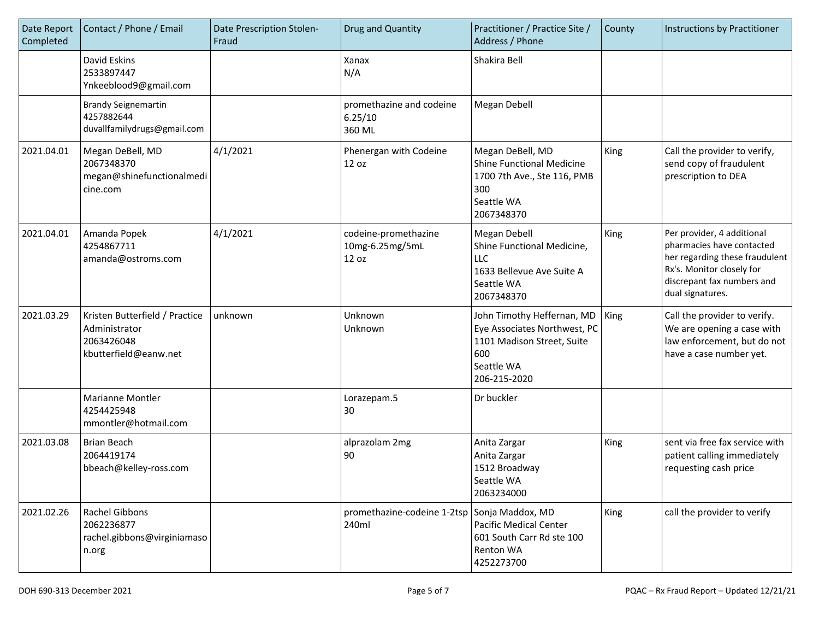| Date Report<br>Completed | Contact / Phone / Email                                                                | Date Prescription Stolen-<br>Fraud | Drug and Quantity                                | Practitioner / Practice Site /<br>Address / Phone                                                                             | County | Instructions by Practitioner                                                                                                                                             |
|--------------------------|----------------------------------------------------------------------------------------|------------------------------------|--------------------------------------------------|-------------------------------------------------------------------------------------------------------------------------------|--------|--------------------------------------------------------------------------------------------------------------------------------------------------------------------------|
|                          | David Eskins<br>2533897447<br>Ynkeeblood9@gmail.com                                    |                                    | Xanax<br>N/A                                     | Shakira Bell                                                                                                                  |        |                                                                                                                                                                          |
|                          | <b>Brandy Seignemartin</b><br>4257882644<br>duvallfamilydrugs@gmail.com                |                                    | promethazine and codeine<br>6.25/10<br>360 ML    | Megan Debell                                                                                                                  |        |                                                                                                                                                                          |
| 2021.04.01               | Megan DeBell, MD<br>2067348370<br>megan@shinefunctionalmedi<br>cine.com                | 4/1/2021                           | Phenergan with Codeine<br>12 oz                  | Megan DeBell, MD<br><b>Shine Functional Medicine</b><br>1700 7th Ave., Ste 116, PMB<br>300<br>Seattle WA<br>2067348370        | King   | Call the provider to verify,<br>send copy of fraudulent<br>prescription to DEA                                                                                           |
| 2021.04.01               | Amanda Popek<br>4254867711<br>amanda@ostroms.com                                       | 4/1/2021                           | codeine-promethazine<br>10mg-6.25mg/5mL<br>12 oz | Megan Debell<br>Shine Functional Medicine,<br><b>LLC</b><br>1633 Bellevue Ave Suite A<br>Seattle WA<br>2067348370             | King   | Per provider, 4 additional<br>pharmacies have contacted<br>her regarding these fraudulent<br>Rx's. Monitor closely for<br>discrepant fax numbers and<br>dual signatures. |
| 2021.03.29               | Kristen Butterfield / Practice<br>Administrator<br>2063426048<br>kbutterfield@eanw.net | unknown                            | Unknown<br>Unknown                               | John Timothy Heffernan, MD<br>Eye Associates Northwest, PC<br>1101 Madison Street, Suite<br>600<br>Seattle WA<br>206-215-2020 | King   | Call the provider to verify.<br>We are opening a case with<br>law enforcement, but do not<br>have a case number yet.                                                     |
|                          | Marianne Montler<br>4254425948<br>mmontler@hotmail.com                                 |                                    | Lorazepam.5<br>30                                | Dr buckler                                                                                                                    |        |                                                                                                                                                                          |
| 2021.03.08               | <b>Brian Beach</b><br>2064419174<br>bbeach@kelley-ross.com                             |                                    | alprazolam 2mg<br>90                             | Anita Zargar<br>Anita Zargar<br>1512 Broadway<br>Seattle WA<br>2063234000                                                     | King   | sent via free fax service with<br>patient calling immediately<br>requesting cash price                                                                                   |
| 2021.02.26               | Rachel Gibbons<br>2062236877<br>rachel.gibbons@virginiamaso<br>n.org                   |                                    | promethazine-codeine 1-2tsp<br>240ml             | Sonja Maddox, MD<br>Pacific Medical Center<br>601 South Carr Rd ste 100<br>Renton WA<br>4252273700                            | King   | call the provider to verify                                                                                                                                              |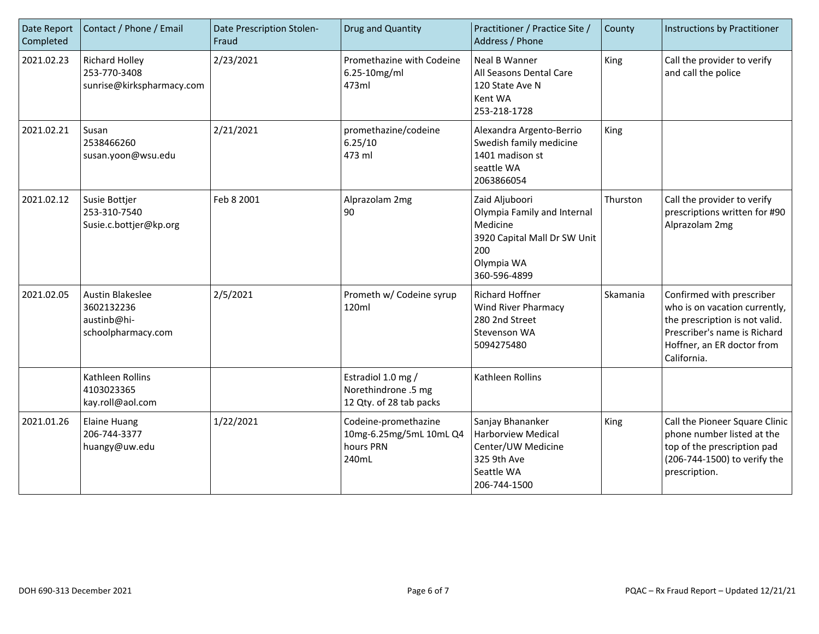| Date Report<br>Completed | Contact / Phone / Email                                                    | Date Prescription Stolen-<br>Fraud | Drug and Quantity                                                     | Practitioner / Practice Site /<br>Address / Phone                                                                              | County   | Instructions by Practitioner                                                                                                                                              |
|--------------------------|----------------------------------------------------------------------------|------------------------------------|-----------------------------------------------------------------------|--------------------------------------------------------------------------------------------------------------------------------|----------|---------------------------------------------------------------------------------------------------------------------------------------------------------------------------|
| 2021.02.23               | <b>Richard Holley</b><br>253-770-3408<br>sunrise@kirkspharmacy.com         | 2/23/2021                          | Promethazine with Codeine<br>6.25-10mg/ml<br>473ml                    | <b>Neal B Wanner</b><br>All Seasons Dental Care<br>120 State Ave N<br>Kent WA<br>253-218-1728                                  | King     | Call the provider to verify<br>and call the police                                                                                                                        |
| 2021.02.21               | Susan<br>2538466260<br>susan.yoon@wsu.edu                                  | 2/21/2021                          | promethazine/codeine<br>6.25/10<br>473 ml                             | Alexandra Argento-Berrio<br>Swedish family medicine<br>1401 madison st<br>seattle WA<br>2063866054                             | King     |                                                                                                                                                                           |
| 2021.02.12               | Susie Bottjer<br>253-310-7540<br>Susie.c.bottjer@kp.org                    | Feb 8 2001                         | Alprazolam 2mg<br>90                                                  | Zaid Aljuboori<br>Olympia Family and Internal<br>Medicine<br>3920 Capital Mall Dr SW Unit<br>200<br>Olympia WA<br>360-596-4899 | Thurston | Call the provider to verify<br>prescriptions written for #90<br>Alprazolam 2mg                                                                                            |
| 2021.02.05               | <b>Austin Blakeslee</b><br>3602132236<br>austinb@hi-<br>schoolpharmacy.com | 2/5/2021                           | Prometh w/ Codeine syrup<br>120ml                                     | <b>Richard Hoffner</b><br><b>Wind River Pharmacy</b><br>280 2nd Street<br>Stevenson WA<br>5094275480                           | Skamania | Confirmed with prescriber<br>who is on vacation currently,<br>the prescription is not valid.<br>Prescriber's name is Richard<br>Hoffner, an ER doctor from<br>California. |
|                          | Kathleen Rollins<br>4103023365<br>kay.roll@aol.com                         |                                    | Estradiol 1.0 mg /<br>Norethindrone .5 mg<br>12 Qty. of 28 tab packs  | Kathleen Rollins                                                                                                               |          |                                                                                                                                                                           |
| 2021.01.26               | <b>Elaine Huang</b><br>206-744-3377<br>huangy@uw.edu                       | 1/22/2021                          | Codeine-promethazine<br>10mg-6.25mg/5mL 10mL Q4<br>hours PRN<br>240mL | Sanjay Bhananker<br><b>Harborview Medical</b><br>Center/UW Medicine<br>325 9th Ave<br>Seattle WA<br>206-744-1500               | King     | Call the Pioneer Square Clinic<br>phone number listed at the<br>top of the prescription pad<br>(206-744-1500) to verify the<br>prescription.                              |